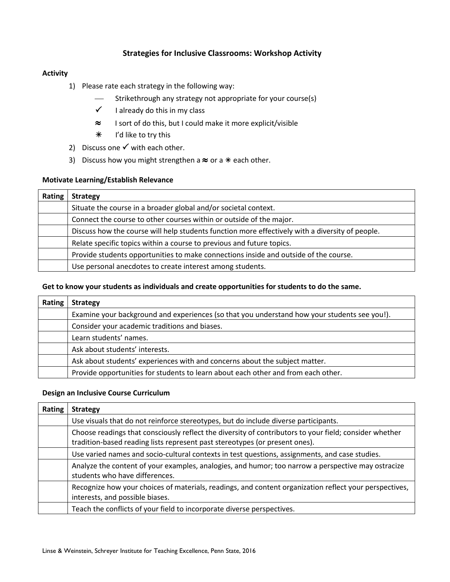## **Strategies for Inclusive Classrooms: Workshop Activity**

### **Activity**

- 1) Please rate each strategy in the following way:
	- Strikethrough any strategy not appropriate for your course(s)
	- $\checkmark$  I already do this in my class
	- ≈ I sort of do this, but I could make it more explicit/visible
	- I'd like to try this
- 2) Discuss one  $\checkmark$  with each other.
- 3) Discuss how you might strengthen a  $\approx$  or a  $*$  each other.

#### **Motivate Learning/Establish Relevance**

| <b>Rating</b> | <b>Strategy</b>                                                                                 |
|---------------|-------------------------------------------------------------------------------------------------|
|               | Situate the course in a broader global and/or societal context.                                 |
|               | Connect the course to other courses within or outside of the major.                             |
|               | Discuss how the course will help students function more effectively with a diversity of people. |
|               | Relate specific topics within a course to previous and future topics.                           |
|               | Provide students opportunities to make connections inside and outside of the course.            |
|               | Use personal anecdotes to create interest among students.                                       |

#### **Get to know your students as individuals and create opportunities for students to do the same.**

| <b>Rating</b> | <b>Strategy</b>                                                                              |
|---------------|----------------------------------------------------------------------------------------------|
|               | Examine your background and experiences (so that you understand how your students see you!). |
|               | Consider your academic traditions and biases.                                                |
|               | Learn students' names.                                                                       |
|               | Ask about students' interests.                                                               |
|               | Ask about students' experiences with and concerns about the subject matter.                  |
|               | Provide opportunities for students to learn about each other and from each other.            |

#### **Design an Inclusive Course Curriculum**

| Rating | <b>Strategy</b>                                                                                                                                                                       |
|--------|---------------------------------------------------------------------------------------------------------------------------------------------------------------------------------------|
|        | Use visuals that do not reinforce stereotypes, but do include diverse participants.                                                                                                   |
|        | Choose readings that consciously reflect the diversity of contributors to your field; consider whether<br>tradition-based reading lists represent past stereotypes (or present ones). |
|        | Use varied names and socio-cultural contexts in test questions, assignments, and case studies.                                                                                        |
|        | Analyze the content of your examples, analogies, and humor; too narrow a perspective may ostracize<br>students who have differences.                                                  |
|        | Recognize how your choices of materials, readings, and content organization reflect your perspectives,<br>interests, and possible biases.                                             |
|        | Teach the conflicts of your field to incorporate diverse perspectives.                                                                                                                |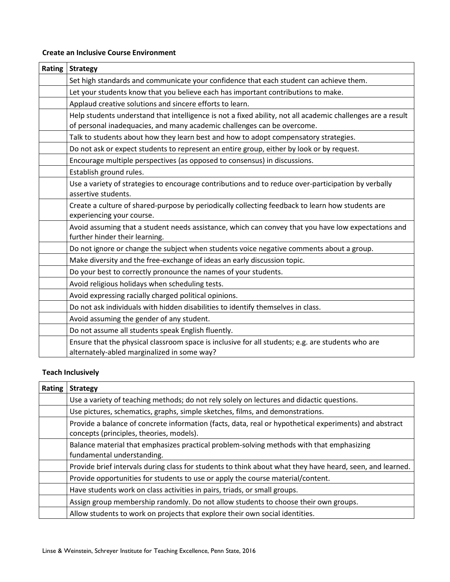## **Create an Inclusive Course Environment**

| Rating | <b>Strategy</b>                                                                                                                                                                        |
|--------|----------------------------------------------------------------------------------------------------------------------------------------------------------------------------------------|
|        | Set high standards and communicate your confidence that each student can achieve them.                                                                                                 |
|        | Let your students know that you believe each has important contributions to make.                                                                                                      |
|        | Applaud creative solutions and sincere efforts to learn.                                                                                                                               |
|        | Help students understand that intelligence is not a fixed ability, not all academic challenges are a result<br>of personal inadequacies, and many academic challenges can be overcome. |
|        | Talk to students about how they learn best and how to adopt compensatory strategies.                                                                                                   |
|        | Do not ask or expect students to represent an entire group, either by look or by request.                                                                                              |
|        | Encourage multiple perspectives (as opposed to consensus) in discussions.                                                                                                              |
|        | Establish ground rules.                                                                                                                                                                |
|        | Use a variety of strategies to encourage contributions and to reduce over-participation by verbally<br>assertive students.                                                             |
|        | Create a culture of shared-purpose by periodically collecting feedback to learn how students are<br>experiencing your course.                                                          |
|        | Avoid assuming that a student needs assistance, which can convey that you have low expectations and<br>further hinder their learning.                                                  |
|        | Do not ignore or change the subject when students voice negative comments about a group.                                                                                               |
|        | Make diversity and the free-exchange of ideas an early discussion topic.                                                                                                               |
|        | Do your best to correctly pronounce the names of your students.                                                                                                                        |
|        | Avoid religious holidays when scheduling tests.                                                                                                                                        |
|        | Avoid expressing racially charged political opinions.                                                                                                                                  |
|        | Do not ask individuals with hidden disabilities to identify themselves in class.                                                                                                       |
|        | Avoid assuming the gender of any student.                                                                                                                                              |
|        | Do not assume all students speak English fluently.                                                                                                                                     |
|        | Ensure that the physical classroom space is inclusive for all students; e.g. are students who are<br>alternately-abled marginalized in some way?                                       |

# **Teach Inclusively**

| Rating | <b>Strategy</b>                                                                                                                                    |
|--------|----------------------------------------------------------------------------------------------------------------------------------------------------|
|        | Use a variety of teaching methods; do not rely solely on lectures and didactic questions.                                                          |
|        | Use pictures, schematics, graphs, simple sketches, films, and demonstrations.                                                                      |
|        | Provide a balance of concrete information (facts, data, real or hypothetical experiments) and abstract<br>concepts (principles, theories, models). |
|        | Balance material that emphasizes practical problem-solving methods with that emphasizing<br>fundamental understanding.                             |
|        | Provide brief intervals during class for students to think about what they have heard, seen, and learned.                                          |
|        | Provide opportunities for students to use or apply the course material/content.                                                                    |
|        | Have students work on class activities in pairs, triads, or small groups.                                                                          |
|        | Assign group membership randomly. Do not allow students to choose their own groups.                                                                |
|        | Allow students to work on projects that explore their own social identities.                                                                       |